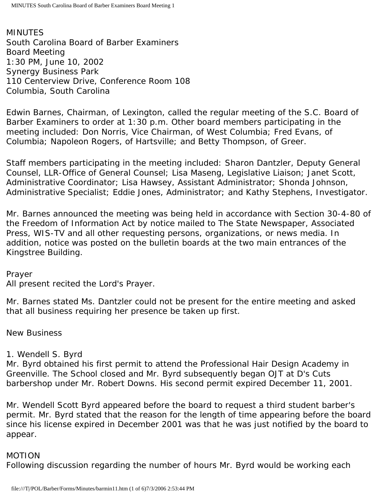MINUTES South Carolina Board of Barber Examiners Board Meeting 1:30 PM, June 10, 2002 Synergy Business Park 110 Centerview Drive, Conference Room 108 Columbia, South Carolina

Edwin Barnes, Chairman, of Lexington, called the regular meeting of the S.C. Board of Barber Examiners to order at 1:30 p.m. Other board members participating in the meeting included: Don Norris, Vice Chairman, of West Columbia; Fred Evans, of Columbia; Napoleon Rogers, of Hartsville; and Betty Thompson, of Greer.

Staff members participating in the meeting included: Sharon Dantzler, Deputy General Counsel, LLR-Office of General Counsel; Lisa Maseng, Legislative Liaison; Janet Scott, Administrative Coordinator; Lisa Hawsey, Assistant Administrator; Shonda Johnson, Administrative Specialist; Eddie Jones, Administrator; and Kathy Stephens, Investigator.

Mr. Barnes announced the meeting was being held in accordance with Section 30-4-80 of the Freedom of Information Act by notice mailed to The State Newspaper, Associated Press, WIS-TV and all other requesting persons, organizations, or news media. In addition, notice was posted on the bulletin boards at the two main entrances of the Kingstree Building.

### Prayer

All present recited the Lord's Prayer.

Mr. Barnes stated Ms. Dantzler could not be present for the entire meeting and asked that all business requiring her presence be taken up first.

### New Business

### 1. Wendell S. Byrd

Mr. Byrd obtained his first permit to attend the Professional Hair Design Academy in Greenville. The School closed and Mr. Byrd subsequently began OJT at D's Cuts barbershop under Mr. Robert Downs. His second permit expired December 11, 2001.

Mr. Wendell Scott Byrd appeared before the board to request a third student barber's permit. Mr. Byrd stated that the reason for the length of time appearing before the board since his license expired in December 2001 was that he was just notified by the board to appear.

### MOTION

Following discussion regarding the number of hours Mr. Byrd would be working each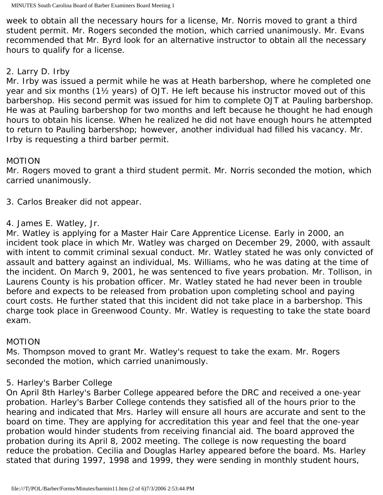week to obtain all the necessary hours for a license, Mr. Norris moved to grant a third student permit. Mr. Rogers seconded the motion, which carried unanimously. Mr. Evans recommended that Mr. Byrd look for an alternative instructor to obtain all the necessary hours to qualify for a license.

# 2. Larry D. Irby

Mr. Irby was issued a permit while he was at Heath barbershop, where he completed one year and six months (1½ years) of OJT. He left because his instructor moved out of this barbershop. His second permit was issued for him to complete OJT at Pauling barbershop. He was at Pauling barbershop for two months and left because he thought he had enough hours to obtain his license. When he realized he did not have enough hours he attempted to return to Pauling barbershop; however, another individual had filled his vacancy. Mr. Irby is requesting a third barber permit.

## MOTION

Mr. Rogers moved to grant a third student permit. Mr. Norris seconded the motion, which carried unanimously.

3. Carlos Breaker did not appear.

## 4. James E. Watley, Jr.

Mr. Watley is applying for a Master Hair Care Apprentice License. Early in 2000, an incident took place in which Mr. Watley was charged on December 29, 2000, with assault with intent to commit criminal sexual conduct. Mr. Watley stated he was only convicted of assault and battery against an individual, Ms. Williams, who he was dating at the time of the incident. On March 9, 2001, he was sentenced to five years probation. Mr. Tollison, in Laurens County is his probation officer. Mr. Watley stated he had never been in trouble before and expects to be released from probation upon completing school and paying court costs. He further stated that this incident did not take place in a barbershop. This charge took place in Greenwood County. Mr. Watley is requesting to take the state board exam.

# MOTION

Ms. Thompson moved to grant Mr. Watley's request to take the exam. Mr. Rogers seconded the motion, which carried unanimously.

# 5. Harley's Barber College

On April 8th Harley's Barber College appeared before the DRC and received a one-year probation. Harley's Barber College contends they satisfied all of the hours prior to the hearing and indicated that Mrs. Harley will ensure all hours are accurate and sent to the board on time. They are applying for accreditation this year and feel that the one-year probation would hinder students from receiving financial aid. The board approved the probation during its April 8, 2002 meeting. The college is now requesting the board reduce the probation. Cecilia and Douglas Harley appeared before the board. Ms. Harley stated that during 1997, 1998 and 1999, they were sending in monthly student hours,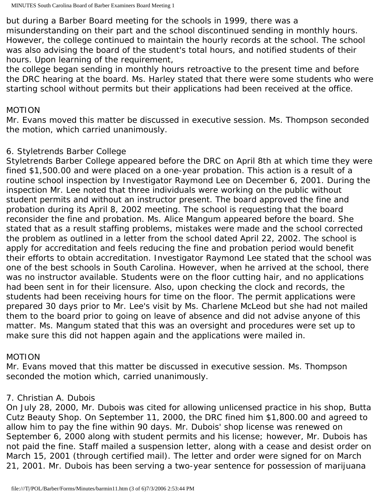but during a Barber Board meeting for the schools in 1999, there was a misunderstanding on their part and the school discontinued sending in monthly hours. However, the college continued to maintain the hourly records at the school. The school was also advising the board of the student's total hours, and notified students of their hours. Upon learning of the requirement,

the college began sending in monthly hours retroactive to the present time and before the DRC hearing at the board. Ms. Harley stated that there were some students who were starting school without permits but their applications had been received at the office.

#### MOTION

Mr. Evans moved this matter be discussed in executive session. Ms. Thompson seconded the motion, which carried unanimously.

### 6. Styletrends Barber College

Styletrends Barber College appeared before the DRC on April 8th at which time they were fined \$1,500.00 and were placed on a one-year probation. This action is a result of a routine school inspection by Investigator Raymond Lee on December 6, 2001. During the inspection Mr. Lee noted that three individuals were working on the public without student permits and without an instructor present. The board approved the fine and probation during its April 8, 2002 meeting. The school is requesting that the board reconsider the fine and probation. Ms. Alice Mangum appeared before the board. She stated that as a result staffing problems, mistakes were made and the school corrected the problem as outlined in a letter from the school dated April 22, 2002. The school is apply for accreditation and feels reducing the fine and probation period would benefit their efforts to obtain accreditation. Investigator Raymond Lee stated that the school was one of the best schools in South Carolina. However, when he arrived at the school, there was no instructor available. Students were on the floor cutting hair, and no applications had been sent in for their licensure. Also, upon checking the clock and records, the students had been receiving hours for time on the floor. The permit applications were prepared 30 days prior to Mr. Lee's visit by Ms. Charlene McLeod but she had not mailed them to the board prior to going on leave of absence and did not advise anyone of this matter. Ms. Mangum stated that this was an oversight and procedures were set up to make sure this did not happen again and the applications were mailed in.

### MOTION

Mr. Evans moved that this matter be discussed in executive session. Ms. Thompson seconded the motion which, carried unanimously.

### 7. Christian A. Dubois

On July 28, 2000, Mr. Dubois was cited for allowing unlicensed practice in his shop, Butta Cutz Beauty Shop. On September 11, 2000, the DRC fined him \$1,800.00 and agreed to allow him to pay the fine within 90 days. Mr. Dubois' shop license was renewed on September 6, 2000 along with student permits and his license; however, Mr. Dubois has not paid the fine. Staff mailed a suspension letter, along with a cease and desist order on March 15, 2001 (through certified mail). The letter and order were signed for on March 21, 2001. Mr. Dubois has been serving a two-year sentence for possession of marijuana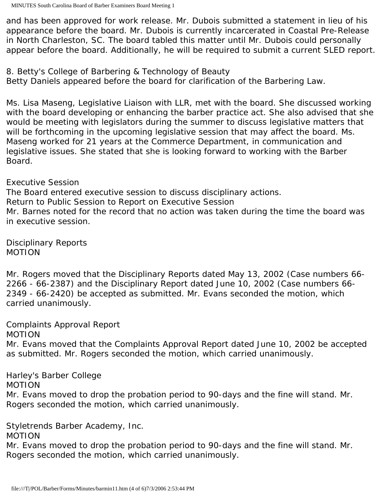and has been approved for work release. Mr. Dubois submitted a statement in lieu of his appearance before the board. Mr. Dubois is currently incarcerated in Coastal Pre-Release in North Charleston, SC. The board tabled this matter until Mr. Dubois could personally appear before the board. Additionally, he will be required to submit a current SLED report.

8. Betty's College of Barbering & Technology of Beauty Betty Daniels appeared before the board for clarification of the Barbering Law.

Ms. Lisa Maseng, Legislative Liaison with LLR, met with the board. She discussed working with the board developing or enhancing the barber practice act. She also advised that she would be meeting with legislators during the summer to discuss legislative matters that will be forthcoming in the upcoming legislative session that may affect the board. Ms. Maseng worked for 21 years at the Commerce Department, in communication and legislative issues. She stated that she is looking forward to working with the Barber Board.

## Executive Session

The Board entered executive session to discuss disciplinary actions. Return to Public Session to Report on Executive Session Mr. Barnes noted for the record that no action was taken during the time the board was in executive session.

Disciplinary Reports MOTION

Mr. Rogers moved that the Disciplinary Reports dated May 13, 2002 (Case numbers 66- 2266 - 66-2387) and the Disciplinary Report dated June 10, 2002 (Case numbers 66- 2349 - 66-2420) be accepted as submitted. Mr. Evans seconded the motion, which carried unanimously.

Complaints Approval Report MOTION

Mr. Evans moved that the Complaints Approval Report dated June 10, 2002 be accepted as submitted. Mr. Rogers seconded the motion, which carried unanimously.

Harley's Barber College

MOTION

Mr. Evans moved to drop the probation period to 90-days and the fine will stand. Mr. Rogers seconded the motion, which carried unanimously.

Styletrends Barber Academy, Inc.

### MOTION

Mr. Evans moved to drop the probation period to 90-days and the fine will stand. Mr. Rogers seconded the motion, which carried unanimously.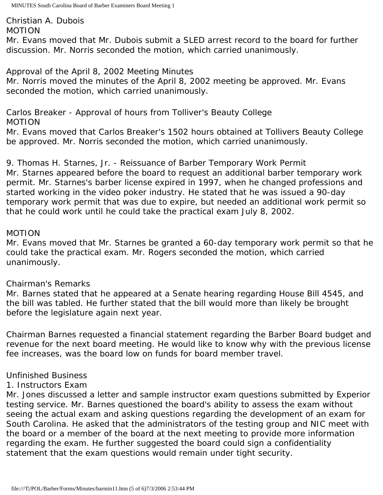Christian A. Dubois MOTION

Mr. Evans moved that Mr. Dubois submit a SLED arrest record to the board for further discussion. Mr. Norris seconded the motion, which carried unanimously.

Approval of the April 8, 2002 Meeting Minutes

Mr. Norris moved the minutes of the April 8, 2002 meeting be approved. Mr. Evans seconded the motion, which carried unanimously.

Carlos Breaker - Approval of hours from Tolliver's Beauty College MOTION

Mr. Evans moved that Carlos Breaker's 1502 hours obtained at Tollivers Beauty College be approved. Mr. Norris seconded the motion, which carried unanimously.

9. Thomas H. Starnes, Jr. - Reissuance of Barber Temporary Work Permit Mr. Starnes appeared before the board to request an additional barber temporary work permit. Mr. Starnes's barber license expired in 1997, when he changed professions and started working in the video poker industry. He stated that he was issued a 90-day temporary work permit that was due to expire, but needed an additional work permit so that he could work until he could take the practical exam July 8, 2002.

### MOTION

Mr. Evans moved that Mr. Starnes be granted a 60-day temporary work permit so that he could take the practical exam. Mr. Rogers seconded the motion, which carried unanimously.

### Chairman's Remarks

Mr. Barnes stated that he appeared at a Senate hearing regarding House Bill 4545, and the bill was tabled. He further stated that the bill would more than likely be brought before the legislature again next year.

Chairman Barnes requested a financial statement regarding the Barber Board budget and revenue for the next board meeting. He would like to know why with the previous license fee increases, was the board low on funds for board member travel.

# Unfinished Business

# 1. Instructors Exam

Mr. Jones discussed a letter and sample instructor exam questions submitted by Experior testing service. Mr. Barnes questioned the board's ability to assess the exam without seeing the actual exam and asking questions regarding the development of an exam for South Carolina. He asked that the administrators of the testing group and NIC meet with the board or a member of the board at the next meeting to provide more information regarding the exam. He further suggested the board could sign a confidentiality statement that the exam questions would remain under tight security.